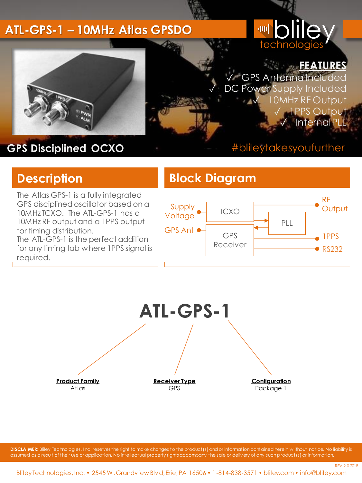#### **ATL-GPS-1 – 10MHz Atlas GPSDO**

# **Introduce** technologie

✓ GPS AntennaIncluded DC Power Supply Included

**FEATURES**

10MHz RF Output ✓ 1PPS Output **Internal PL** 



## **GPS Disciplined OCXO**

#### #blileytakesyoufurther

The Atlas GPS-1 is a fully integrated GPS disciplined oscillator based on a 10MHz TCXO. The ATL-GPS-1 has a 10MHz RF output and a 1PPS output for timing distribution.

The ATL-GPS-1 is the perfect addition for any timing lab where 1PPS signal is required.

### **Description Block Diagram**





**DISCLAIMER**: Bliley Technologies, Inc. reserves the right to make changes to the product(s) and or information contained herein w ithout notice. No liability is assumed as a result of their use or application. No intellectual property rights accompany the sale or delivery of any such product(s) or information.

REV 2.0 2018